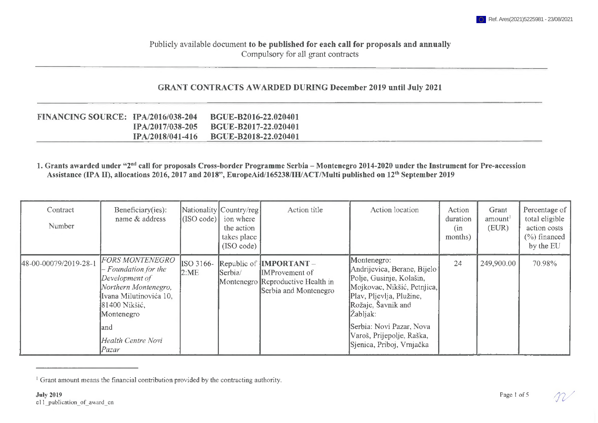## Publicly available document **to be published for each call for proposals and annually** Compulsory for all grant contracts

## **GRANT CONTRACTS AWARDED DURING December 2019 until July 2021**

| <b>FINANCING SOURCE: 1PA/2016/038-204</b> |                         | <b>BGUE-B2016-22.020401</b> |
|-------------------------------------------|-------------------------|-----------------------------|
|                                           | IPA/2017/038-205        | <b>BGUE-B2017-22.020401</b> |
|                                           | <b>IPA/2018/041-416</b> | <b>BGUE-B2018-22.020401</b> |

## 1. Grants awarded under "2<sup>nd</sup> call for proposals Cross-border Programme Serbia - Montenegro 2014-2020 under the Instrument for Pre-accession **Assistance (IPA II), allocations 2016,2017 and 2018", EuropeAid/165238/IH/ACT/MuIti published on 12th September 2019**

| Contract<br>Number    | Beneficiary(ies):<br>name & address                                                                                                                                                             | (SO code)         | Nationality Country/reg<br>ion where<br>the action<br>takes place<br>(ISO code) | Action title                                                                                                           | Action location                                                                                                                                                                                                                                             | Action<br>duration<br>(n <sub>n</sub> )<br>months) | Grant<br>amount <sup>1</sup><br>(EUR) | Percentage of<br>total eligible<br>action costs<br>$(\%)$ financed<br>by the EU |
|-----------------------|-------------------------------------------------------------------------------------------------------------------------------------------------------------------------------------------------|-------------------|---------------------------------------------------------------------------------|------------------------------------------------------------------------------------------------------------------------|-------------------------------------------------------------------------------------------------------------------------------------------------------------------------------------------------------------------------------------------------------------|----------------------------------------------------|---------------------------------------|---------------------------------------------------------------------------------|
| 48-00-00079/2019-28-1 | <b>FORS MONTENEGRO</b><br>- Foundation for the<br>Development of<br>Northern Montenegro,<br>Ivana Milutinovića 10,<br>81400 Nikšić,<br>Montenegro<br>land<br><b>Health Centre Novi</b><br>Pazar | ISO 3166-<br>2:ME | Serbia/                                                                         | Republic of $\text{IMPORTANT}-$<br><b>IMProvement</b> of<br>Montenegro Reproductive Health in<br>Serbia and Montenegro | Montenegro:<br>Andrijevica, Berane, Bijelo  <br>Polje, Gusinje, Kolašin,<br>Mojkovac, Nikšić, Petnjica,<br>Plav, Pljevlja, Plužine,<br>Rožaje, Šavnik and<br>Žabljak:<br>Serbia: Novi Pazar, Nova<br>Varoš, Prijepolje, Raška,<br>Sjenica, Priboj, Vrnjačka | 24                                                 | 249,900.00                            | 70.98%                                                                          |

<sup>&</sup>lt;sup>1</sup> Grant amount means the financial contribution provided by the contracting authority.

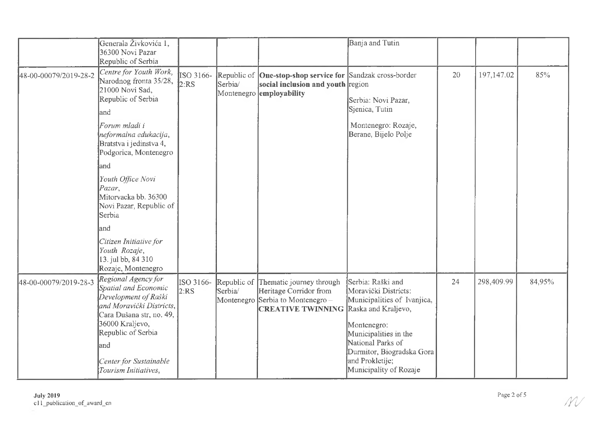|                       | Generala Živkovića 1,<br>36300 Novi Pazar<br>Republic of Serbia                                                                                                                                                                |                   |                                      |                                                                                                          | Banja and Tutin                                                                                                                                                                                                                        |    |            |        |
|-----------------------|--------------------------------------------------------------------------------------------------------------------------------------------------------------------------------------------------------------------------------|-------------------|--------------------------------------|----------------------------------------------------------------------------------------------------------|----------------------------------------------------------------------------------------------------------------------------------------------------------------------------------------------------------------------------------------|----|------------|--------|
| 48-00-00079/2019-28-2 | Centre for Youth Work,<br>Narodnog fronta 35/28,<br>21000 Novi Sad,<br>Republic of Serbia<br>land<br>Forum mladi i<br>neformalna edukacija,<br>Bratstva i jedinstva 4,<br>Podgorica, Montenegro                                | ISO 3166-<br>2:RS | Republic of<br>Serbia/<br>Montenegro | One-stop-shop service for Sandzak cross-border<br>social inclusion and youth region<br>employability     | Serbia: Novi Pazar,<br>Sjenica, Tutin<br>Montenegro: Rozaje,<br>Berane, Bijelo Polje                                                                                                                                                   | 20 | 197,147.02 | 85%    |
|                       | and<br>Youth Office Novi<br>Pazar,<br>Mitorvacka bb. 36300<br>Novi Pazar, Republic of<br>Serbia<br>and                                                                                                                         |                   |                                      |                                                                                                          |                                                                                                                                                                                                                                        |    |            |        |
|                       | Citizen Initiative for<br>Youth Rozaje,<br>13. jul bb, 84 310<br>Rozaje, Montenegro                                                                                                                                            |                   |                                      |                                                                                                          |                                                                                                                                                                                                                                        |    |            |        |
| 48-00-00079/2019-28-3 | Regional Agency for<br>Spatial and Economic<br>Development of Raški<br>and Moravički Districts,<br>Cara Dušana str, no. 49,<br>36000 Kraljevo,<br>Republic of Serbia<br>land<br>Center for Sustainable<br>Tourism Initiatives, | ISO 3166-<br>2:RS | Republic of<br>Serbia/<br>Montenegro | Thematic journey through<br>Heritage Corridor from<br>Serbia to Montenegro -<br><b>CREATIVE TWINNING</b> | Serbia: Raški and<br>Moravički Districts:<br>Municipalities of Ivanjica,<br>Raska and Kraljevo,<br>Montenegro:<br>Municipalities in the<br>National Parks of<br>Durmitor, Biogradska Gora<br>and Prokletije;<br>Municipality of Rozaje | 24 | 298,409.99 | 84,95% |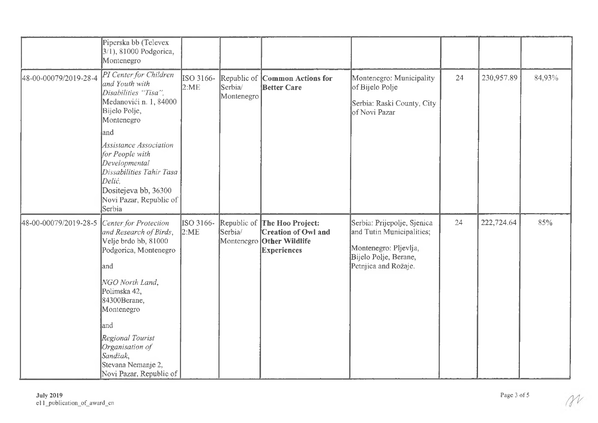|                       | Piperska bb (Televex<br>3/1), 81000 Podgorica,<br>Montenegro                                                                                                                                                                                                                          |                   |                                     |                                                                                             |                                                                                                                                   |    |            |        |
|-----------------------|---------------------------------------------------------------------------------------------------------------------------------------------------------------------------------------------------------------------------------------------------------------------------------------|-------------------|-------------------------------------|---------------------------------------------------------------------------------------------|-----------------------------------------------------------------------------------------------------------------------------------|----|------------|--------|
| 48-00-00079/2019-28-4 | PI Center for Children<br>and Youth with<br>Disabilities "Tisa",<br>Medanovići n. 1, 84000<br>Bijelo Polje,<br>Montenegro<br>and                                                                                                                                                      | ISO 3166-<br>2:ME | Republic of<br>Serbia<br>Montenegro | Common Actions for<br><b>Better Care</b>                                                    | Montenegro: Municipality<br>of Bijelo Polje<br>Serbia: Raski County, City<br>of Novi Pazar                                        | 24 | 230,957.89 | 84,93% |
|                       | <b>Assistance Association</b><br>for People with<br>Developmental<br>Dissabilities Tahir Tasa<br>Delić,<br>Dositejeva bb, 36300<br>Novi Pazar, Republic of<br>Serbia                                                                                                                  |                   |                                     |                                                                                             |                                                                                                                                   |    |            |        |
| 48-00-00079/2019-28-5 | Center for Protection<br>and Research of Birds,<br>Velje brdo bb, 81000<br>Podgorica, Montenegro<br>land<br>NGO North Land,<br>Polimska 42,<br>84300Berane,<br>Montenegro<br>land<br>Regional Tourist<br>Organisation of<br>Sandžak,<br>Stevana Nemanje 2,<br>Novi Pazar, Republic of | ISO 3166-<br>2:ME | Serbia/<br>Montenegro               | Republic of The Hoo Project:<br>Creation of Owl and<br>Other Wildlife<br><b>Experiences</b> | Serbia: Prijepolje, Sjenica<br>and Tutin Municipalities;<br>Montenegro: Pljevlja,<br>Bijelo Polje, Berane,<br>Petnica and Rožaje. | 24 | 222,724.64 | 85%    |

 $\gamma$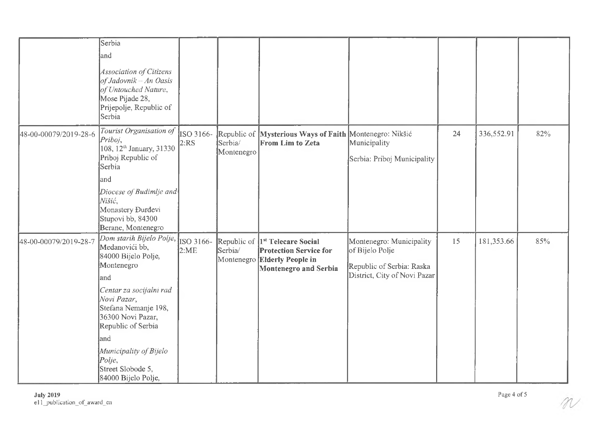|                       | Serbia                                                                                                                                     |                   |                       |                                                                                                                                           |                                                                                                          |    |            |     |
|-----------------------|--------------------------------------------------------------------------------------------------------------------------------------------|-------------------|-----------------------|-------------------------------------------------------------------------------------------------------------------------------------------|----------------------------------------------------------------------------------------------------------|----|------------|-----|
|                       | land                                                                                                                                       |                   |                       |                                                                                                                                           |                                                                                                          |    |            |     |
|                       | <b>Association of Citizens</b><br>$of$ Jadovnik - An Oasis<br>of Untouched Nature,<br>Mose Pijade 28,<br>Prijepolje, Republic of<br>Serbia |                   |                       |                                                                                                                                           |                                                                                                          |    |            |     |
| 48-00-00079/2019-28-6 | Tourist Organisation of<br>Priboj,<br>108, 12 <sup>th</sup> January, 31330<br>Priboj Republic of<br>Serbia                                 | ISO 3166-<br>2:RS | Serbia/<br>Montenegro | Republic of Mysterious Ways of Faith Montenegro: Nikšić<br><b>From Lim to Zeta</b>                                                        | Municipality<br>Serbia: Priboj Municipality                                                              | 24 | 336,552.91 | 82% |
|                       | land                                                                                                                                       |                   |                       |                                                                                                                                           |                                                                                                          |    |            |     |
|                       | Diocese of Budimlje and<br>Nišić,<br>Monastery Đurđevi<br>Stupovi bb, 84300<br>Berane, Montenegro                                          |                   |                       |                                                                                                                                           |                                                                                                          |    |            |     |
| 48-00-00079/2019-28-7 | Dom starih Bijelo Polje,<br>Medanovići bb,<br>84000 Bijelo Polje,<br>Montenegro<br>land                                                    | ISO 3166-<br>2:ME | Serbia/<br>Montenegro | Republic of  1 <sup>st</sup> Telecare Social<br><b>Protection Service for</b><br><b>Elderly People in</b><br><b>Montenegro and Serbia</b> | Montenegro: Municipality<br>of Bijelo Polje<br>Republic of Serbia: Raska<br>District, City of Novi Pazar | 15 | 181,353.66 | 85% |
|                       | Centar za socijalni rad<br>Novi Pazar,<br>Stefana Nemanje 198,<br>36300 Novi Pazar,<br>Republic of Serbia                                  |                   |                       |                                                                                                                                           |                                                                                                          |    |            |     |
|                       | land                                                                                                                                       |                   |                       |                                                                                                                                           |                                                                                                          |    |            |     |
|                       | Municipality of Bijelo<br>$Polie$ ,<br>Street Slobode 5,<br>84000 Bijelo Polje,                                                            |                   |                       |                                                                                                                                           |                                                                                                          |    |            |     |